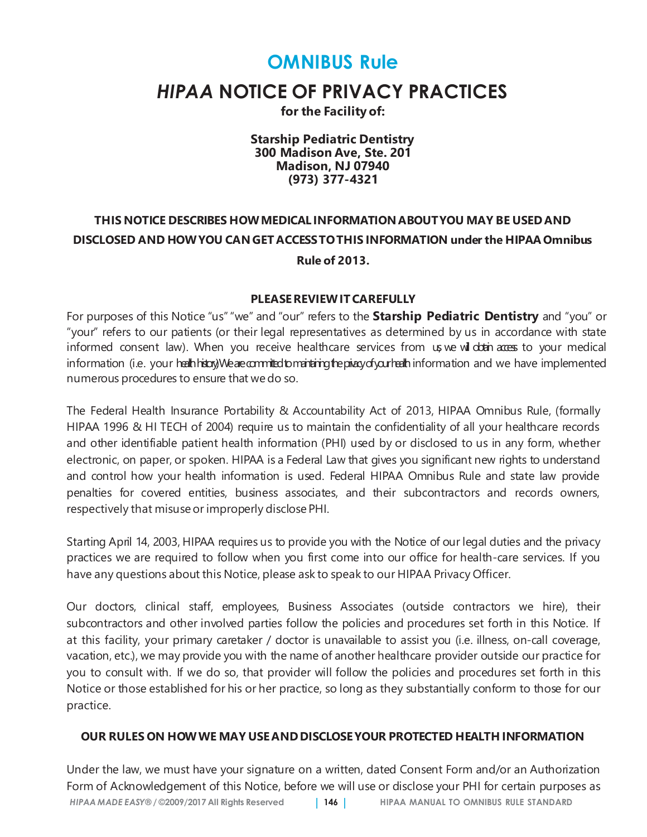# **OMNIBUS Rule**

# *HIPAA* **NOTICE OF PRIVACY PRACTICES**

**for the Facility of:**

**Starship Pediatric Dentistry 300 Madison Ave, Ste. 201 Madison, NJ 07940 (973) 377-4321**

# **THIS NOTICE DESCRIBES HOWMEDICAL INFORMATION ABOUTYOU MAY BE USEDAND DISCLOSED AND HOWYOU CANGET ACCESSTOTHIS INFORMATION under the HIPAA Omnibus Rule of 2013.**

#### **PLEASEREVIEWITCAREFULLY**

For purposes of this Notice "us""we" and "our" refers to the **Starship Pediatric Dentistry** and "you" or "your" refers to our patients (or their legal representatives as determined by us in accordance with state informed consent law). When you receive healthcare services from us we wil obtain access to your medical information (i.e. your health history). We are committed to maintaining the privacy of your health information and we have implemented numerous procedures to ensure that wedo so.

The Federal Health Insurance Portability & Accountability Act of 2013, HIPAA Omnibus Rule, (formally HIPAA 1996 & HI TECH of 2004) require us to maintain the confidentiality of all your healthcare records and other identifiable patient health information (PHI) used by or disclosed to us in any form, whether electronic, on paper, or spoken. HIPAA is a Federal Law that gives you significant new rights to understand and control how your health information is used. Federal HIPAA Omnibus Rule and state law provide penalties for covered entities, business associates, and their subcontractors and records owners, respectively that misuse or improperly disclose PHI.

Starting April 14, 2003, HIPAA requires us to provide you with the Notice of our legal duties and the privacy practices we are required to follow when you first come into our office for health-care services. If you have any questions about this Notice, please ask to speak to our HIPAA Privacy Officer.

Our doctors, clinical staff, employees, Business Associates (outside contractors we hire), their subcontractors and other involved parties follow the policies and procedures set forth in this Notice. If at this facility, your primary caretaker / doctor is unavailable to assist you (i.e. illness, on-call coverage, vacation, etc.), we may provide you with the name of another healthcare provider outside our practice for you to consult with. If we do so, that provider will follow the policies and procedures set forth in this Notice or those established for his or her practice, so long as they substantially conform to those for our practice.

#### **OUR RULES ON HOWWE MAY USE ANDDISCLOSEYOUR PROTECTED HEALTH INFORMATION**

*HIPAA MADE EASY®* **/ ©2009/2017 All Rights Reserved** | **146** | **HIPAA MANUAL TO OMNIBUS RULE STANDARD** Under the law, we must have your signature on a written, dated Consent Form and/or an Authorization Form of Acknowledgement of this Notice, before we will use or disclose your PHI for certain purposes as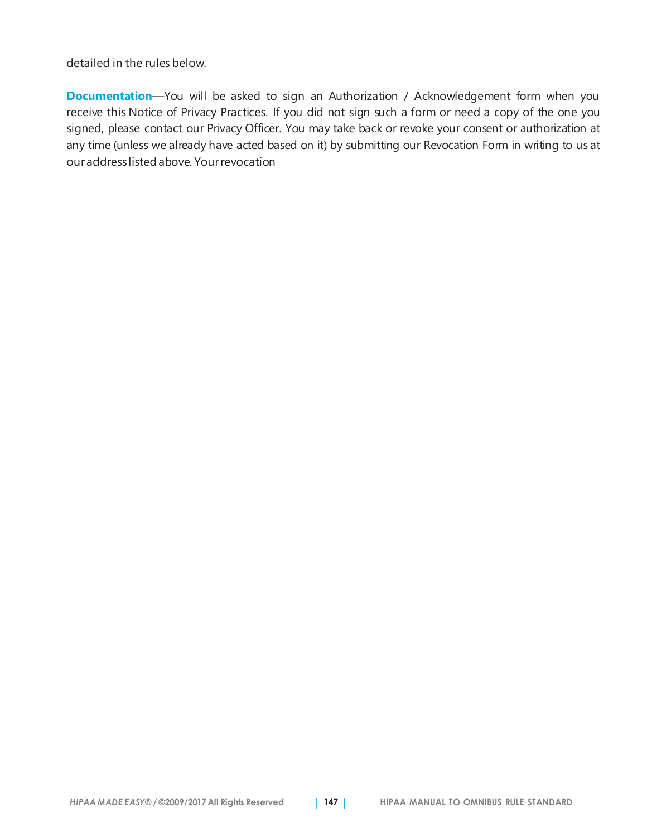detailed in the rules below.

**Documentation**—You will be asked to sign an Authorization / Acknowledgement form when you receive this Notice of Privacy Practices. If you did not sign such a form or need a copy of the one you signed, please contact our Privacy Officer. You may take back or revoke your consent or authorization at any time (unless we already have acted based on it) by submitting our Revocation Form in writing to us at ouraddress listed above. Yourrevocation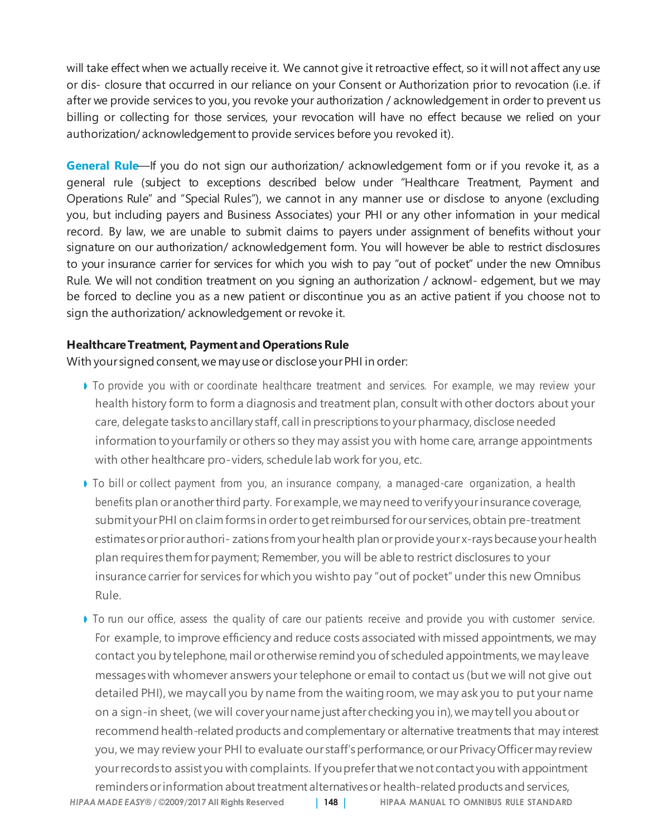will take effect when we actually receive it. We cannot give it retroactive effect, so it will not affect any use or dis- closure that occurred in our reliance on your Consent or Authorization prior to revocation (i.e. if after we provide services to you, you revoke your authorization / acknowledgement in order to prevent us billing or collecting for those services, your revocation will have no effect because we relied on your authorization/acknowledgement to provide services before you revoked it).

**General Rule**—If you do not sign our authorization/ acknowledgement form or if you revoke it, as a general rule (subject to exceptions described below under "Healthcare Treatment, Payment and Operations Rule" and "Special Rules"), we cannot in any manner use or disclose to anyone (excluding you, but including payers and Business Associates) your PHI or any other information in your medical record. By law, we are unable to submit claims to payers under assignment of benefits without your signature on our authorization/ acknowledgement form. You will however be able to restrict disclosures to your insurance carrier for services for which you wish to pay "out of pocket" under the new Omnibus Rule. We will not condition treatment on you signing an authorization / acknowl- edgement, but we may be forced to decline you as a new patient or discontinue you as an active patient if you choose not to sign the authorization/ acknowledgement or revoke it.

#### **HealthcareTreatment, Payment and Operations Rule**

With your signed consent, we may use or disclose your PHI in order:

- ➧ To provide you with or coordinate healthcare treatment and services. For example, we may review your health history form to form a diagnosis and treatment plan, consult with other doctors about your care, delegate tasks to ancillary staff, call in prescriptions to yourpharmacy,disclose needed information to yourfamily or others so they may assist you with home care, arrange appointments with other healthcare pro-viders, schedule lab work for you, etc.
- ➧ To bill or collect payment from you, an insurance company, a managed-care organization, a health benefits plan or another third party. For example, we may need to verify your insurance coverage, submit your PHI on claim forms in order to get reimbursed for our services, obtain pre-treatment estimatesorpriorauthori- zations fromyourhealth plan orprovide your x-raysbecause yourhealth plan requires them forpayment; Remember, you will be able to restrict disclosures to your insurance carrier for services for which you wishto pay "out of pocket" under this new Omnibus Rule.
- *HIPAA MADE EASY®* **/ ©2009/2017 All Rights Reserved** | **148** | **HIPAA MANUAL TO OMNIBUS RULE STANDARD** ➧ To run our office, assess the quality of care our patients receive and provide you with customer service. For example, to improve efficiency and reduce costs associated with missed appointments, we may contact you by telephone, mail or otherwise remind you of scheduled appointments, we may leave messageswith whomever answers your telephone or email to contact us (but we will not give out detailed PHI), we maycall you by name from the waiting room, we may ask you to put your name on a sign-in sheet, (we will cover your name just after checking you in), we may tell you about or recommend health-related products and complementary or alternative treatments that may interest you, we may review your PHI to evaluate our staff's performance, or our Privacy Officer may review yourrecords to assist you with complaints. If youpreferthatwe not contact you with appointment reminders or information about treatment alternatives or health-related products and services,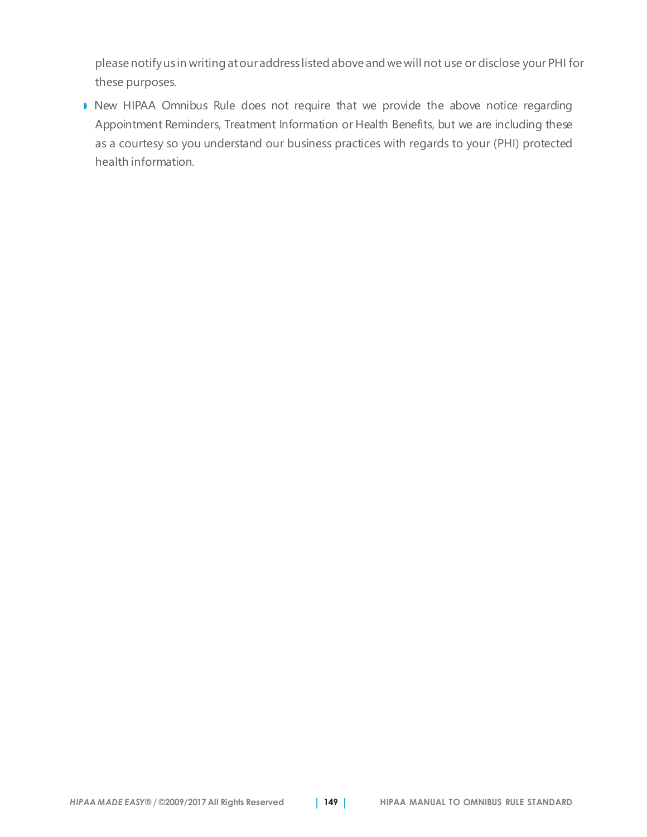please notifyus in writing atouraddress listed above and we will not use or disclose your PHI for these purposes.

➧ New HIPAA Omnibus Rule does not require that we provide the above notice regarding Appointment Reminders, Treatment Information or Health Benefits, but we are including these as a courtesy so you understand our business practices with regards to your (PHI) protected health information.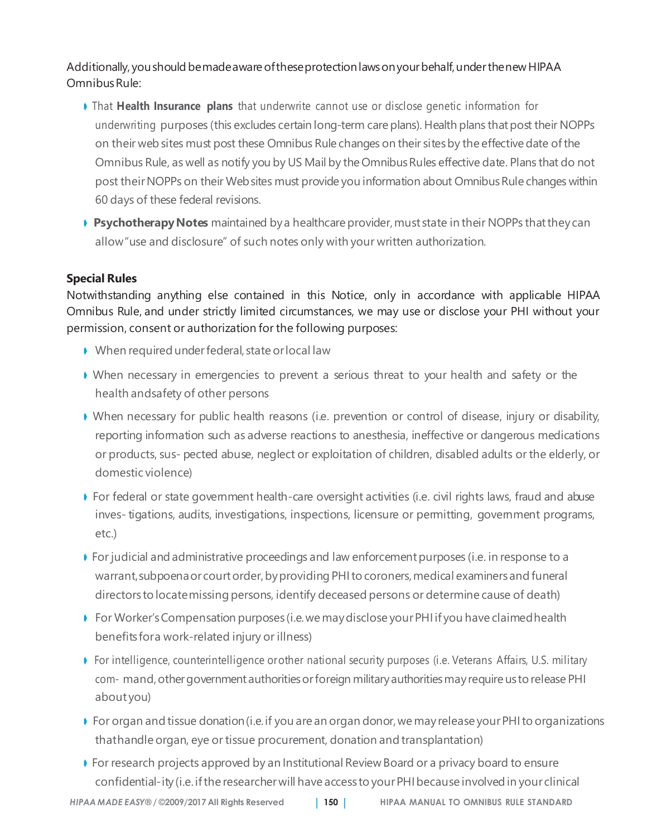Additionally, youshould bemadeaware oftheseprotectionlawsonyourbehalf,underthenew HIPAA Omnibus Rule:

- ➧ That **Health Insurance plans** that underwrite cannot use or disclose genetic information for underwriting purposes (this excludes certain long-term care plans). Health plans that post their NOPPs on their web sites must post these Omnibus Rule changes on their sites by the effective date of the Omnibus Rule, as well as notify you by US Mail by the Omnibus Rules effective date. Plans that do not post their NOPPs on their Web sites must provide you information about Omnibus Rule changes within 60 days of these federal revisions.
- **▶ Psychotherapy Notes** maintained by a healthcare provider, must state in their NOPPs that they can allow"use and disclosure" of such notes only with your written authorization.

#### **Special Rules**

Notwithstanding anything else contained in this Notice, only in accordance with applicable HIPAA Omnibus Rule, and under strictly limited circumstances, we may use or disclose your PHI without your permission, consent or authorization for the following purposes:

- ➧ When required underfederal, state orlocal law
- ➧ When necessary in emergencies to prevent a serious threat to your health and safety or the health andsafety of other persons
- ➧ When necessary for public health reasons (i.e. prevention or control of disease, injury or disability, reporting information such as adverse reactions to anesthesia, ineffective or dangerous medications or products, sus- pected abuse, neglect or exploitation of children, disabled adults or the elderly, or domestic violence)
- ➧ For federal or state government health-care oversight activities (i.e. civil rights laws, fraud and abuse inves- tigations, audits, investigations, inspections, licensure or permitting, government programs, etc.)
- ➧ For judicial and administrative proceedings and law enforcement purposes (i.e. in response to a warrant, subpoena or court order, by providing PHI to coroners, medical examiners and funeral directors to locatemissing persons, identify deceased persons or determine cause of death)
- ➧ For Worker'sCompensation purposes (i.e.we maydisclose yourPHI if you have claimedhealth benefits fora work-related injury or illness)
- ➧ For intelligence, counterintelligence orother national security purposes (i.e. Veterans Affairs, U.S. military com- mand, other government authorities or foreign military authorities may require us to release PHI about you)
- ➧ For organ and tissue donation(i.e.if you are an organ donor,we mayrelease yourPHIto organizations thathandle organ, eye or tissue procurement, donation and transplantation)
- ➧ For research projects approved by an Institutional Review Board or a privacy board to ensure confidential-ity(i.e. ifthe researcherwill have access toyourPHIbecause involved in your clinical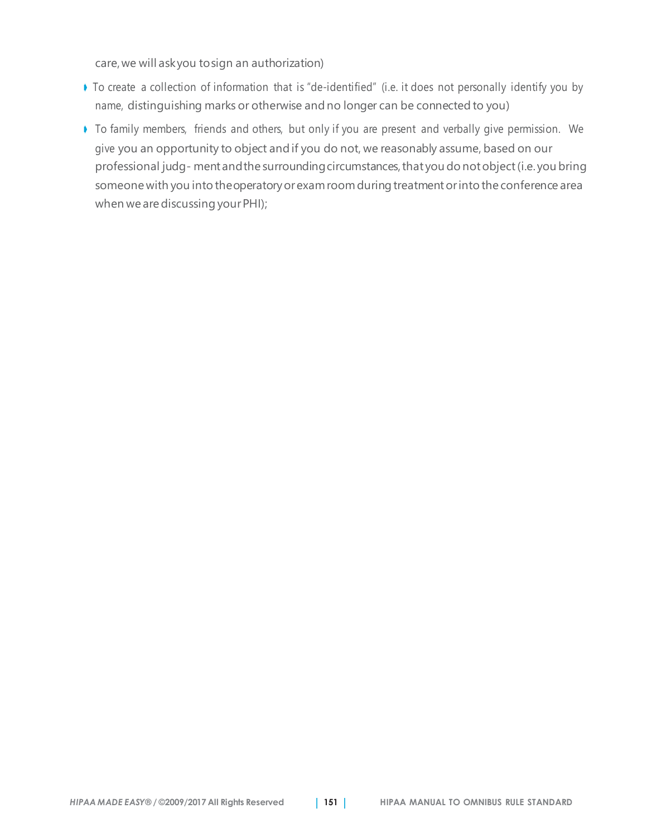care,we will askyou tosign an authorization)

- ➧ To create a collection of information that is "de-identified" (i.e. it does not personally identify you by name, distinguishing marks or otherwise and no longer can be connected to you)
- ➧ To family members, friends and others, but only if you are present and verbally give permission. We give you an opportunity to object and if you do not, we reasonably assume, based on our professional judg- ment and the surrounding circumstances, that you do not object (i.e. you bring someone with you into theoperatoryorexam room during treatmentorinto the conference area when we are discussing your PHI);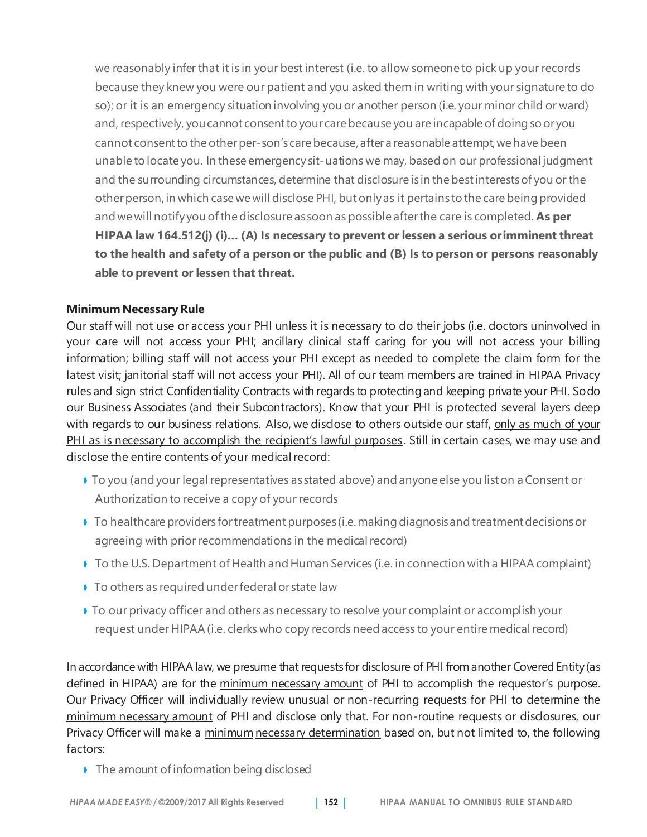we reasonably infer that it is in your best interest (i.e. to allow someone to pick up your records because they knew you were our patient and you asked them in writing with your signature to do so); or it is an emergency situation involving you or another person (i.e. your minor child or ward) and, respectively, you cannot consent to your care because you are incapable of doing so or you cannot consent to the other per-son's care because, after a reasonable attempt, we have been unable to locate you. In these emergency sit-uations we may, based on our professional judgment and the surrounding circumstances, determine that disclosure is in the best interests of you or the otherperson, in which case we will disclose PHI, butonlyas it pertains to the care being provided and we will notify you ofthedisclosure as soon as possible afterthe care is completed. **As per HIPAA law 164.512(j) (i)… (A) Is necessary to prevent or lessen a serious orimminent threat to the health and safety of a person or the public and (B) Is to person or persons reasonably able to prevent or lessen that threat.**

#### **MinimumNecessaryRule**

Our staff will not use or access your PHI unless it is necessary to do their jobs (i.e. doctors uninvolved in your care will not access your PHI; ancillary clinical staff caring for you will not access your billing information; billing staff will not access your PHI except as needed to complete the claim form for the latest visit; janitorial staff will not access your PHI). All of our team members are trained in HIPAA Privacy rules and sign strict Confidentiality Contracts with regards to protecting and keeping private your PHI. Sodo our Business Associates (and their Subcontractors). Know that your PHI is protected several layers deep with regards to our business relations. Also, we disclose to others outside our staff, only as much of your PHI as is necessary to accomplish the recipient's lawful purposes. Still in certain cases, we may use and disclose the entire contents of your medical record:

- ➧ To you (and your legalrepresentatives as stated above) and anyone else you liston a Consent or Authorization to receive a copy of your records
- ♦ To healthcare providers for treatment purposes (i.e. making diagnosis and treatment decisions or agreeing with prior recommendations in the medical record)
- ➧ To the U.S. Department of Health and Human Services (i.e. in connection with a HIPAA complaint)
- ➧ To others as required underfederal or state law
- ➧ To our privacy officer and others as necessary to resolve your complaint or accomplish your request under HIPAA (i.e. clerks who copy records need access to your entire medical record)

In accordance with HIPAAlaw, we presume that requests for disclosure of PHI fromanother Covered Entity(as defined in HIPAA) are for the minimum necessary amount of PHI to accomplish the requestor's purpose. Our Privacy Officer will individually review unusual or non-recurring requests for PHI to determine the minimum necessary amount of PHI and disclose only that. For non-routine requests or disclosures, our Privacy Officer will make a minimum necessary determination based on, but not limited to, the following factors:

➧ The amount ofinformation being disclosed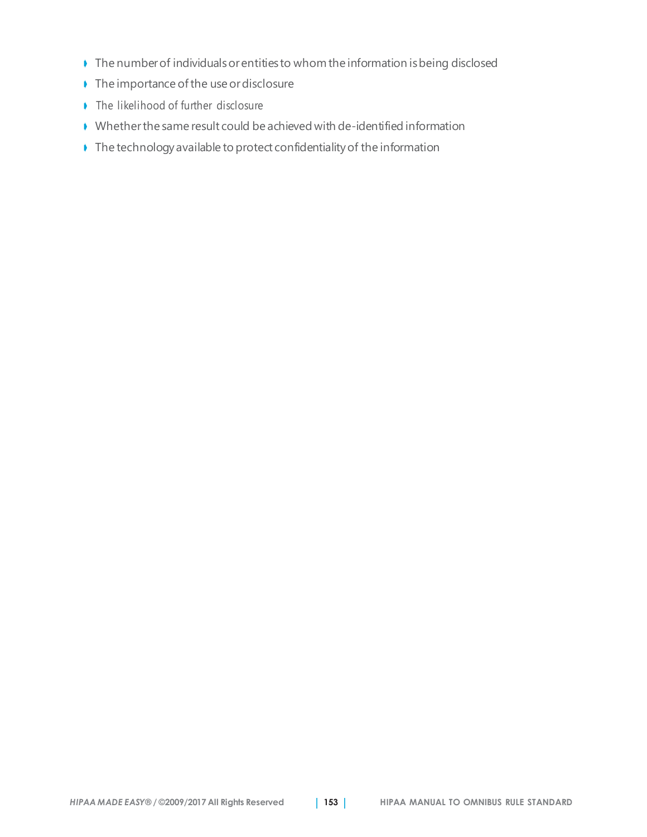- ➧ The numberof individualsorentities to whom the information isbeing disclosed
- ➧ The importance ofthe use ordisclosure
- ➧ The likelihood of further disclosure
- ➧ Whetherthe same result could be achieved with de-identified information
- ➧ The technology available to protect confidentialityof the information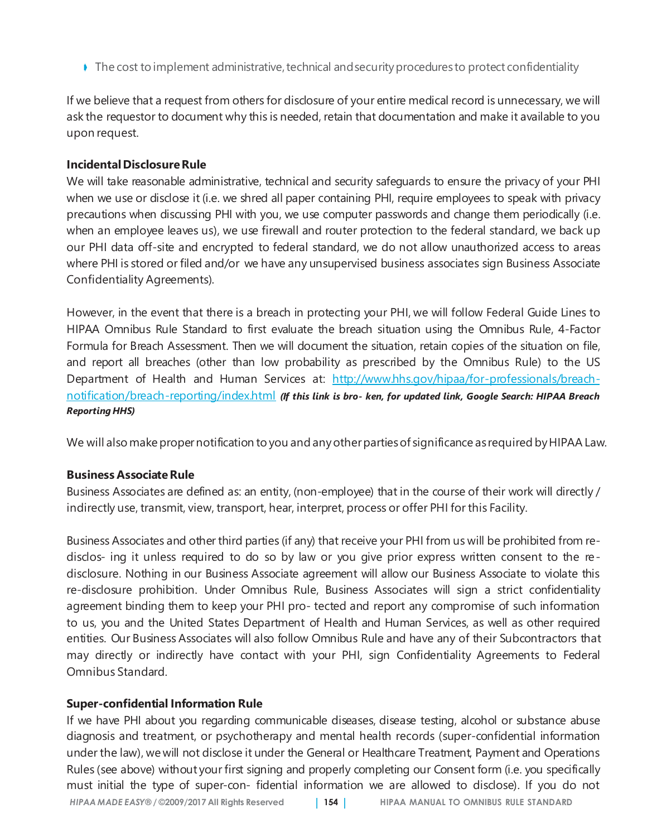♦ The cost to implement administrative, technical and security procedures to protect confidentiality

If we believe that a request from others for disclosure of your entire medical record is unnecessary, we will ask the requestor to document why this is needed, retain that documentation and make it available to you upon request.

#### **IncidentalDisclosureRule**

We will take reasonable administrative, technical and security safeguards to ensure the privacy of your PHI when we use or disclose it (i.e. we shred all paper containing PHI, require employees to speak with privacy precautions when discussing PHI with you, we use computer passwords and change them periodically (i.e. when an employee leaves us), we use firewall and router protection to the federal standard, we back up our PHI data off-site and encrypted to federal standard, we do not allow unauthorized access to areas where PHI is stored or filed and/or we have any unsupervised business associates sign Business Associate Confidentiality Agreements).

However, in the event that there is a breach in protecting your PHI, we will follow Federal Guide Lines to HIPAA Omnibus Rule Standard to first evaluate the breach situation using the Omnibus Rule, 4-Factor Formula for Breach Assessment. Then we will document the situation, retain copies of the situation on file, and report all breaches (other than low probability as prescribed by the Omnibus Rule) to the US Department of Health and Human Services at: http://www.hhs.gov/hipaa/for-professionals/breachnotification/breach-reporting/index.html *(If this link is bro- ken, for updated link, Google Search: HIPAA Breach Reporting HHS)*

We will also make proper notification to you and any other parties of significance as required by HIPAA Law.

#### **Business AssociateRule**

Business Associates are defined as: an entity, (non-employee) that in the course of their work will directly / indirectly use, transmit, view, transport, hear, interpret, process or offer PHI for this Facility.

Business Associates and other third parties (if any) that receive your PHI from us will be prohibited from redisclos- ing it unless required to do so by law or you give prior express written consent to the redisclosure. Nothing in our Business Associate agreement will allow our Business Associate to violate this re-disclosure prohibition. Under Omnibus Rule, Business Associates will sign a strict confidentiality agreement binding them to keep your PHI pro- tected and report any compromise of such information to us, you and the United States Department of Health and Human Services, as well as other required entities. Our Business Associates will also follow Omnibus Rule and have any of their Subcontractors that may directly or indirectly have contact with your PHI, sign Confidentiality Agreements to Federal Omnibus Standard.

#### **Super-confidential Information Rule**

*HIPAA MADE EASY®* **/ ©2009/2017 All Rights Reserved** | **154** | **HIPAA MANUAL TO OMNIBUS RULE STANDARD** If we have PHI about you regarding communicable diseases, disease testing, alcohol or substance abuse diagnosis and treatment, or psychotherapy and mental health records (super-confidential information under the law), we will not disclose it under the General or Healthcare Treatment, Payment and Operations Rules (see above) without your first signing and properly completing our Consent form (i.e. you specifically must initial the type of super-con- fidential information we are allowed to disclose). If you do not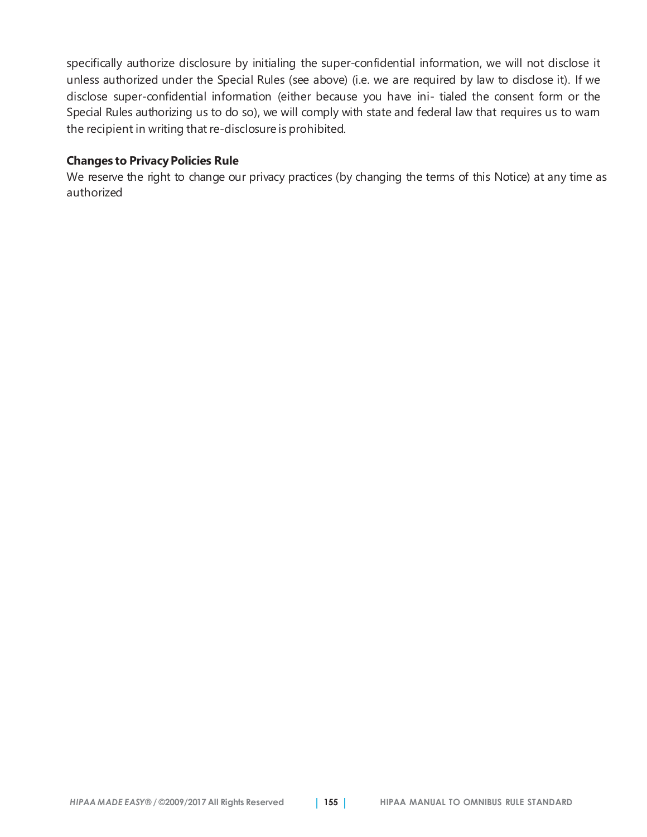specifically authorize disclosure by initialing the super-confidential information, we will not disclose it unless authorized under the Special Rules (see above) (i.e. we are required by law to disclose it). If we disclose super-confidential information (either because you have ini- tialed the consent form or the Special Rules authorizing us to do so), we will comply with state and federal law that requires us to wam the recipient in writing that re-disclosure is prohibited.

#### **Changes to PrivacyPolicies Rule**

We reserve the right to change our privacy practices (by changing the terms of this Notice) at any time as authorized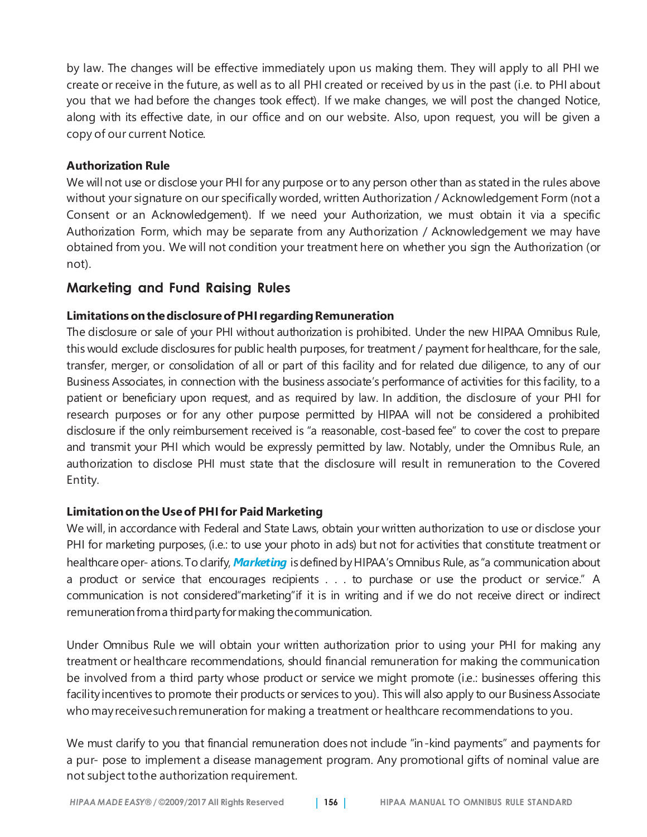by law. The changes will be effective immediately upon us making them. They will apply to all PHI we create or receive in the future, as well as to all PHI created or received by us in the past (i.e. to PHI about you that we had before the changes took effect). If we make changes, we will post the changed Notice, along with its effective date, in our office and on our website. Also, upon request, you will be given a copy of our current Notice.

#### **Authorization Rule**

We will not use or disclose your PHI for any purpose or to any person other than as stated in the rules above without your signature on our specifically worded, written Authorization / Acknowledgement Form (not a Consent or an Acknowledgement). If we need your Authorization, we must obtain it via a specific Authorization Form, which may be separate from any Authorization / Acknowledgement we may have obtained from you. We will not condition your treatment here on whether you sign the Authorization (or not).

### **Marketing and Fund Raising Rules**

#### **Limitations onthedisclosureofPHIregardingRemuneration**

The disclosure or sale of your PHI without authorization is prohibited. Under the new HIPAA Omnibus Rule, this would exclude disclosures for public health purposes, for treatment / payment forhealthcare, for the sale, transfer, merger, or consolidation of all or part of this facility and for related due diligence, to any of our Business Associates, in connection with the business associate's performance of activities for this facility, to a patient or beneficiary upon request, and as required by law. In addition, the disclosure of your PHI for research purposes or for any other purpose permitted by HIPAA will not be considered a prohibited disclosure if the only reimbursement received is "a reasonable, cost-based fee" to cover the cost to prepare and transmit your PHI which would be expressly permitted by law. Notably, under the Omnibus Rule, an authorization to disclose PHI must state that the disclosure will result in remuneration to the Covered Entity.

#### **Limitationonthe Useof PHIfor Paid Marketing**

We will, in accordance with Federal and State Laws, obtain your written authorization to use or disclose your PHI for marketing purposes, (i.e.: to use your photo in ads) but not for activities that constitute treatment or healthcare oper- ations.Toclarify, *Marketing* isdefined byHIPAA's Omnibus Rule, as "a communication about a product or service that encourages recipients . . . to purchase or use the product or service." A communication is not considered"marketing"if it is in writing and if we do not receive direct or indirect remuneration from a third party for making the communication.

Under Omnibus Rule we will obtain your written authorization prior to using your PHI for making any treatment or healthcare recommendations, should financial remuneration for making the communication be involved from a third party whose product or service we might promote (i.e.: businesses offering this facility incentives to promote their products or services to you). This will also apply to our Business Associate who mayreceivesuchremuneration for making a treatment or healthcare recommendations to you.

We must clarify to you that financial remuneration does not include "in-kind payments" and payments for a pur- pose to implement a disease management program. Any promotional gifts of nominal value are not subject tothe authorization requirement.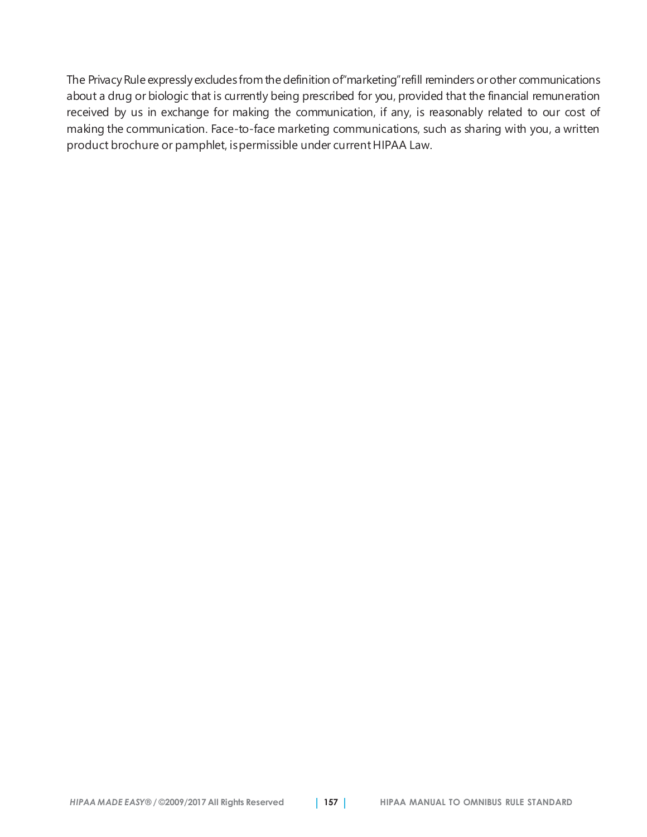The Privacy Rule expressly excludes from the definition of "marketing" refill reminders or other communications about a drug or biologic that is currently being prescribed for you, provided that the financial remuneration received by us in exchange for making the communication, if any, is reasonably related to our cost of making the communication. Face-to-face marketing communications, such as sharing with you, a written product brochure or pamphlet, is permissible under current HIPAA Law.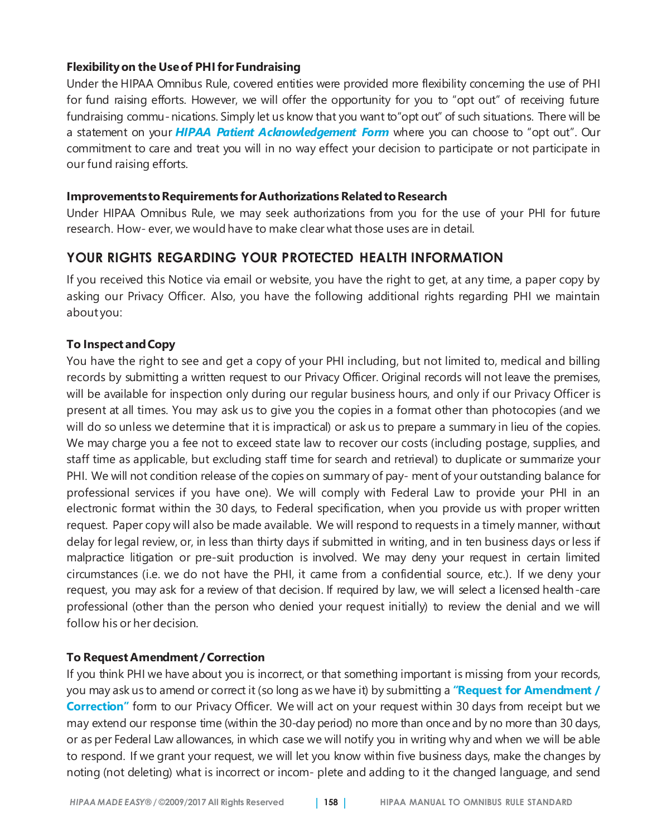#### **Flexibilityon the Useof PHIfor Fundraising**

Under the HIPAA Omnibus Rule, covered entities were provided more flexibility concerning the use of PHI for fund raising efforts. However, we will offer the opportunity for you to "opt out" of receiving future fundraising commu-nications. Simply let us know that you want to"opt out" of such situations. There will be a statement on your *HIPAA Patient Acknowledgement Form* where you can choose to "opt out". Our commitment to care and treat you will in no way effect your decision to participate or not participate in our fund raising efforts.

#### **ImprovementstoRequirements forAuthorizations RelatedtoResearch**

Under HIPAA Omnibus Rule, we may seek authorizations from you for the use of your PHI for future research. How- ever, we would have to make clear what those uses are in detail.

## **YOUR RIGHTS REGARDING YOUR PROTECTED HEALTH INFORMATION**

If you received this Notice via email or website, you have the right to get, at any time, a paper copy by asking our Privacy Officer. Also, you have the following additional rights regarding PHI we maintain about you:

#### **To Inspect andCopy**

You have the right to see and get a copy of your PHI including, but not limited to, medical and billing records by submitting a written request to our Privacy Officer. Original records will not leave the premises, will be available for inspection only during our regular business hours, and only if our Privacy Officer is present at all times. You may ask us to give you the copies in a format other than photocopies (and we will do so unless we determine that it is impractical) or ask us to prepare a summary in lieu of the copies. We may charge you a fee not to exceed state law to recover our costs (including postage, supplies, and staff time as applicable, but excluding staff time for search and retrieval) to duplicate or summarize your PHI. We will not condition release of the copies on summary of pay- ment of your outstanding balance for professional services if you have one). We will comply with Federal Law to provide your PHI in an electronic format within the 30 days, to Federal specification, when you provide us with proper written request. Paper copy will also be made available. We will respond to requests in a timely manner, without delay for legal review, or, in less than thirty days if submitted in writing, and in ten business days or less if malpractice litigation or pre-suit production is involved. We may deny your request in certain limited circumstances (i.e. we do not have the PHI, it came from a confidential source, etc.). If we deny your request, you may ask for a review of that decision. If required by law, we will select a licensed health-care professional (other than the person who denied your request initially) to review the denial and we will follow his or her decision.

#### **To Request Amendment / Correction**

If you think PHI we have about you is incorrect, or that something important is missing from your records, you may ask us to amend or correct it (so long as we have it) by submitting a **"Request for Amendment / Correction"** form to our Privacy Officer. We will act on your request within 30 days from receipt but we may extend our response time (within the 30-day period) no more than once and by no more than 30 days, or as per Federal Law allowances, in which case we will notify you in writing why and when we will be able to respond. If we grant your request, we will let you know within five business days, make the changes by noting (not deleting) what is incorrect or incom- plete and adding to it the changed language, and send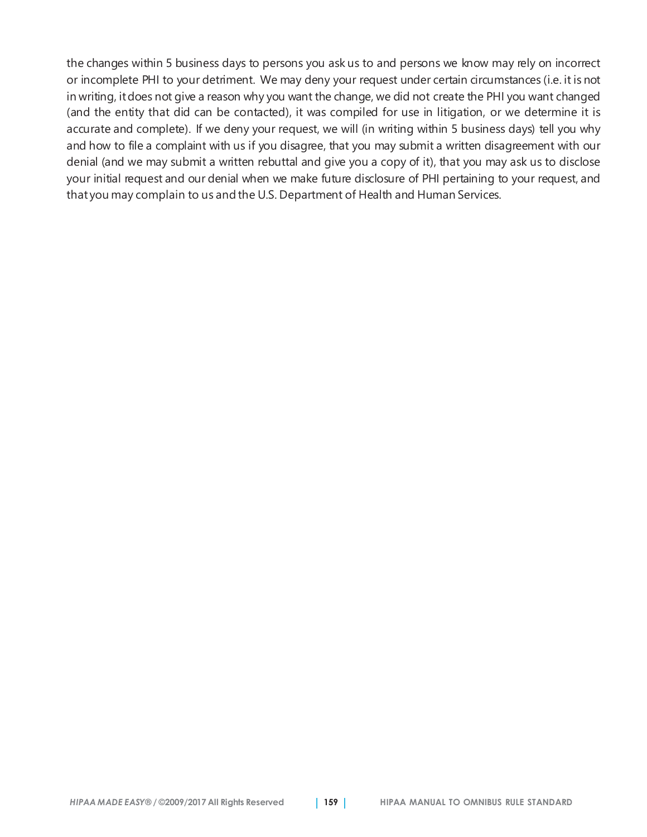the changes within 5 business days to persons you ask us to and persons we know may rely on incorrect or incomplete PHI to your detriment. We may deny your request under certain circumstances (i.e. it is not in writing, itdoes not give a reason why you want the change, we did not create the PHI you want changed (and the entity that did can be contacted), it was compiled for use in litigation, or we determine it is accurate and complete). If we deny your request, we will (in writing within 5 business days) tell you why and how to file a complaint with us if you disagree, that you may submit a written disagreement with our denial (and we may submit a written rebuttal and give you a copy of it), that you may ask us to disclose your initial request and our denial when we make future disclosure of PHI pertaining to your request, and that you may complain to us and the U.S. Department of Health and Human Services.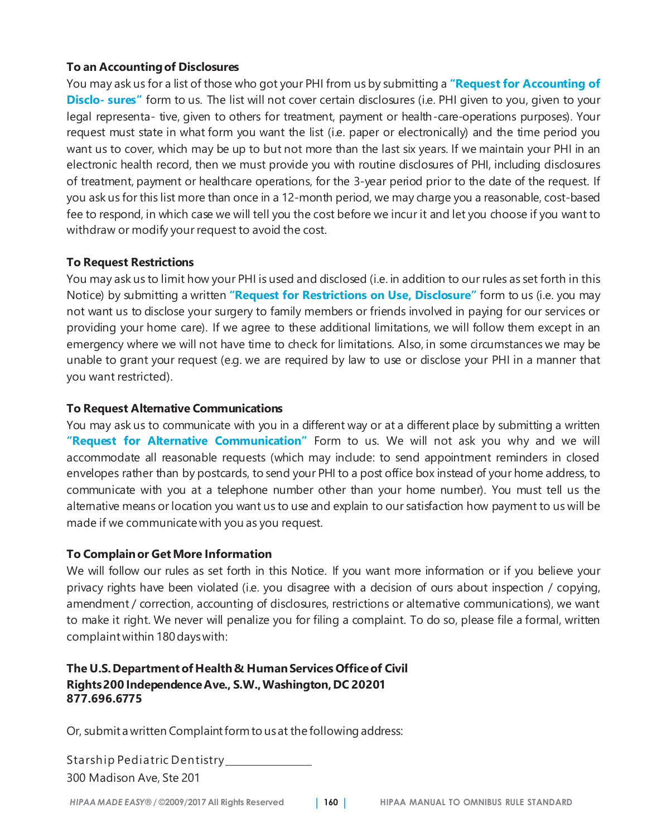#### **To an Accountingof Disclosures**

You may ask us for a list of those who got your PHI from us by submitting a **"Request for Accounting of Disclo- sures"** form to us. The list will not cover certain disclosures (i.e. PHI given to you, given to your legal representa- tive, given to others for treatment, payment or health-care-operations purposes). Your request must state in what form you want the list (i.e. paper or electronically) and the time period you want us to cover, which may be up to but not more than the last six years. If we maintain your PHI in an electronic health record, then we must provide you with routine disclosures of PHI, including disclosures of treatment, payment or healthcare operations, for the 3-year period prior to the date of the request. If you ask us for this list more than once in a 12-month period, we may charge you a reasonable, cost-based fee to respond, in which case we will tell you the cost before we incur it and let you choose if you want to withdraw or modify your request to avoid the cost.

#### **To Request Restrictions**

You may ask us to limit how your PHI is used and disclosed (i.e. in addition to our rules as set forth in this Notice) by submitting a written **"Request for Restrictions on Use, Disclosure"** form to us (i.e. you may not want us to disclose your surgery to family members or friends involved in paying for our services or providing your home care). If we agree to these additional limitations, we will follow them except in an emergency where we will not have time to check for limitations. Also, in some circumstances we may be unable to grant your request (e.g. we are required by law to use or disclose your PHI in a manner that you want restricted).

#### **To Request Alternative Communications**

You may ask us to communicate with you in a different way or at a different place by submitting a written **"Request for Alternative Communication"** Form to us. We will not ask you why and we will accommodate all reasonable requests (which may include: to send appointment reminders in closed envelopes rather than by postcards, to send your PHI to a post office box instead of your home address, to communicate with you at a telephone number other than your home number). You must tell us the alternative means or location you want us to use and explain to our satisfaction how payment to us will be made if we communicate with you as you request.

### **To Complainor GetMore Information**

We will follow our rules as set forth in this Notice. If you want more information or if you believe your privacy rights have been violated (i.e. you disagree with a decision of ours about inspection / copying, amendment / correction, accounting of disclosures, restrictions or alternative communications), we want to make it right. We never will penalize you for filing a complaint. To do so, please file a formal, written complaintwithin 180dayswith:

#### **The U.S.DepartmentofHealth& HumanServices Officeof Civil Rights200 IndependenceAve., S.W.,Washington, DC 20201 877.696.6775**

Or, submit a written Complaint form to us at the following address:

Starship Pediatric Dentistry 300 Madison Ave, Ste 201